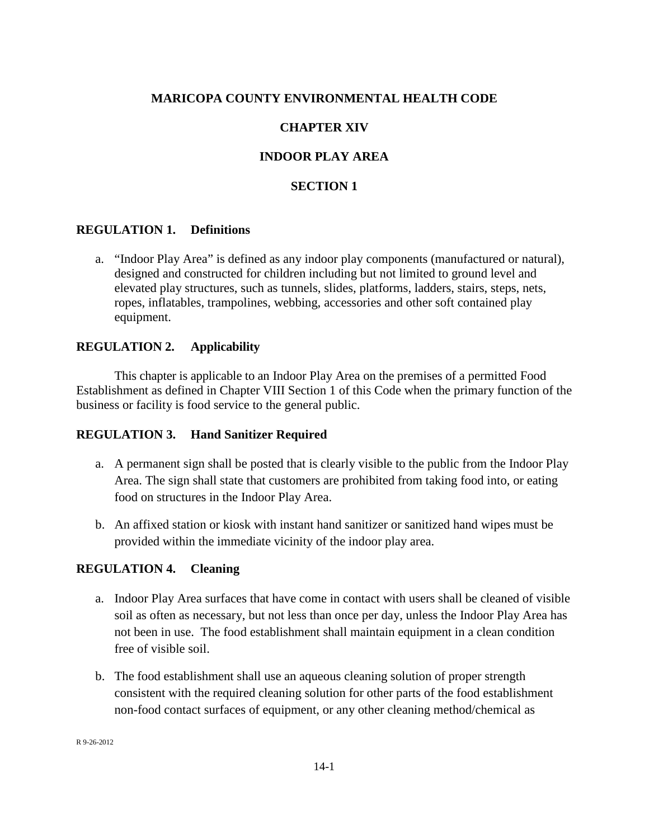## **MARICOPA COUNTY ENVIRONMENTAL HEALTH CODE**

## **CHAPTER XIV**

# **INDOOR PLAY AREA**

## **SECTION 1**

#### **REGULATION 1. Definitions**

a. "Indoor Play Area" is defined as any indoor play components (manufactured or natural), designed and constructed for children including but not limited to ground level and elevated play structures, such as tunnels, slides, platforms, ladders, stairs, steps, nets, ropes, inflatables, trampolines, webbing, accessories and other soft contained play equipment.

#### **REGULATION 2. Applicability**

This chapter is applicable to an Indoor Play Area on the premises of a permitted Food Establishment as defined in Chapter VIII Section 1 of this Code when the primary function of the business or facility is food service to the general public.

#### **REGULATION 3. Hand Sanitizer Required**

- a. A permanent sign shall be posted that is clearly visible to the public from the Indoor Play Area. The sign shall state that customers are prohibited from taking food into, or eating food on structures in the Indoor Play Area.
- b. An affixed station or kiosk with instant hand sanitizer or sanitized hand wipes must be provided within the immediate vicinity of the indoor play area.

#### **REGULATION 4. Cleaning**

- a. Indoor Play Area surfaces that have come in contact with users shall be cleaned of visible soil as often as necessary, but not less than once per day, unless the Indoor Play Area has not been in use. The food establishment shall maintain equipment in a clean condition free of visible soil.
- b. The food establishment shall use an aqueous cleaning solution of proper strength consistent with the required cleaning solution for other parts of the food establishment non-food contact surfaces of equipment, or any other cleaning method/chemical as

R 9-26-2012